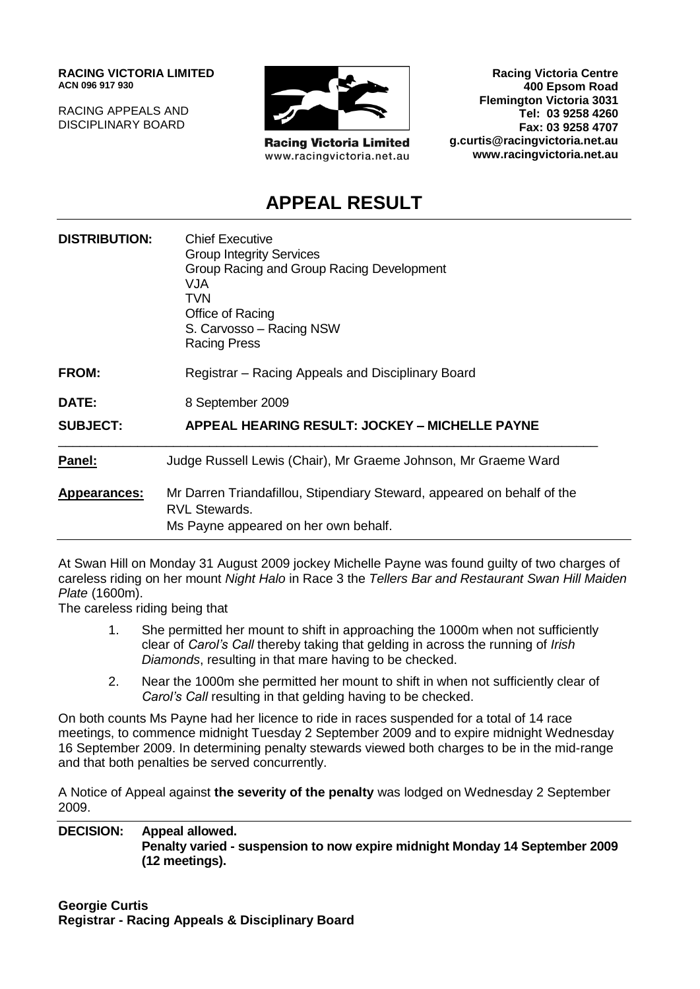**RACING VICTORIA LIMITED ACN 096 917 930**

RACING APPEALS AND DISCIPLINARY BOARD



**Racing Victoria Limited** www.racingvictoria.net.au

**Racing Victoria Centre 400 Epsom Road Flemington Victoria 3031 Tel: 03 9258 4260 Fax: 03 9258 4707 g.curtis@racingvictoria.net.au www.racingvictoria.net.au**

# **APPEAL RESULT**

| <b>DISTRIBUTION:</b> | <b>Chief Executive</b><br><b>Group Integrity Services</b><br>Group Racing and Group Racing Development<br>VJA<br>TVN<br>Office of Racing<br>S. Carvosso - Racing NSW<br><b>Racing Press</b> |
|----------------------|---------------------------------------------------------------------------------------------------------------------------------------------------------------------------------------------|
| <b>FROM:</b>         | Registrar – Racing Appeals and Disciplinary Board                                                                                                                                           |
| DATE:                | 8 September 2009                                                                                                                                                                            |
| <b>SUBJECT:</b>      | <b>APPEAL HEARING RESULT: JOCKEY - MICHELLE PAYNE</b>                                                                                                                                       |
| Panel:               | Judge Russell Lewis (Chair), Mr Graeme Johnson, Mr Graeme Ward                                                                                                                              |
| Appearances:         | Mr Darren Triandafillou, Stipendiary Steward, appeared on behalf of the<br><b>RVL Stewards.</b><br>Ms Payne appeared on her own behalf.                                                     |

At Swan Hill on Monday 31 August 2009 jockey Michelle Payne was found guilty of two charges of careless riding on her mount *Night Halo* in Race 3 the *Tellers Bar and Restaurant Swan Hill Maiden Plate* (1600m).

The careless riding being that

- 1. She permitted her mount to shift in approaching the 1000m when not sufficiently clear of *Carol's Call* thereby taking that gelding in across the running of *Irish Diamonds*, resulting in that mare having to be checked.
- 2. Near the 1000m she permitted her mount to shift in when not sufficiently clear of *Carol's Call* resulting in that gelding having to be checked.

On both counts Ms Payne had her licence to ride in races suspended for a total of 14 race meetings, to commence midnight Tuesday 2 September 2009 and to expire midnight Wednesday 16 September 2009. In determining penalty stewards viewed both charges to be in the mid-range and that both penalties be served concurrently.

A Notice of Appeal against **the severity of the penalty** was lodged on Wednesday 2 September 2009.

**DECISION: Appeal allowed. Penalty varied - suspension to now expire midnight Monday 14 September 2009 (12 meetings).**

**Georgie Curtis Registrar - Racing Appeals & Disciplinary Board**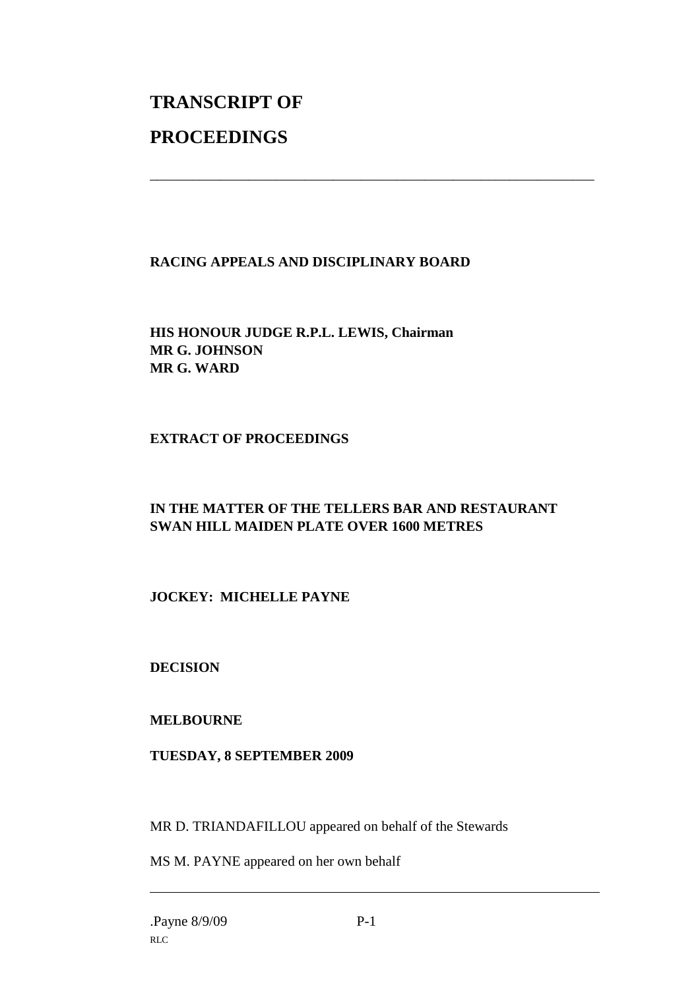# **TRANSCRIPT OF PROCEEDINGS**

### **RACING APPEALS AND DISCIPLINARY BOARD**

\_\_\_\_\_\_\_\_\_\_\_\_\_\_\_\_\_\_\_\_\_\_\_\_\_\_\_\_\_\_\_\_\_\_\_\_\_\_\_\_\_\_\_\_\_\_\_\_\_\_\_\_\_\_\_\_\_\_\_\_\_\_\_

**HIS HONOUR JUDGE R.P.L. LEWIS, Chairman MR G. JOHNSON MR G. WARD**

### **EXTRACT OF PROCEEDINGS**

# **IN THE MATTER OF THE TELLERS BAR AND RESTAURANT SWAN HILL MAIDEN PLATE OVER 1600 METRES**

## **JOCKEY: MICHELLE PAYNE**

**DECISION**

#### **MELBOURNE**

#### **TUESDAY, 8 SEPTEMBER 2009**

MR D. TRIANDAFILLOU appeared on behalf of the Stewards

MS M. PAYNE appeared on her own behalf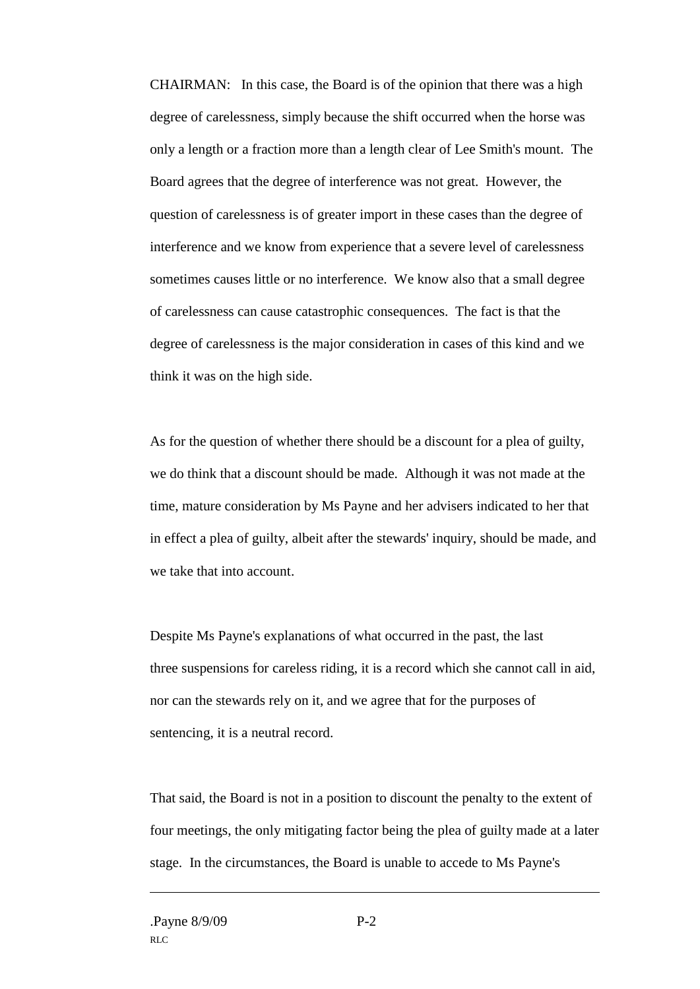CHAIRMAN: In this case, the Board is of the opinion that there was a high degree of carelessness, simply because the shift occurred when the horse was only a length or a fraction more than a length clear of Lee Smith's mount. The Board agrees that the degree of interference was not great. However, the question of carelessness is of greater import in these cases than the degree of interference and we know from experience that a severe level of carelessness sometimes causes little or no interference. We know also that a small degree of carelessness can cause catastrophic consequences. The fact is that the degree of carelessness is the major consideration in cases of this kind and we think it was on the high side.

As for the question of whether there should be a discount for a plea of guilty, we do think that a discount should be made. Although it was not made at the time, mature consideration by Ms Payne and her advisers indicated to her that in effect a plea of guilty, albeit after the stewards' inquiry, should be made, and we take that into account.

Despite Ms Payne's explanations of what occurred in the past, the last three suspensions for careless riding, it is a record which she cannot call in aid, nor can the stewards rely on it, and we agree that for the purposes of sentencing, it is a neutral record.

That said, the Board is not in a position to discount the penalty to the extent of four meetings, the only mitigating factor being the plea of guilty made at a later stage. In the circumstances, the Board is unable to accede to Ms Payne's